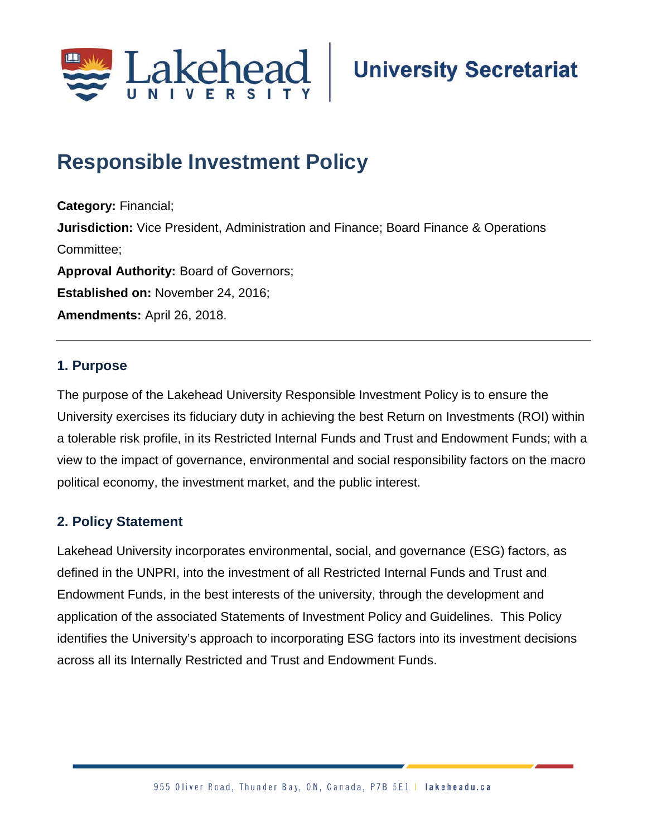

# **Responsible Investment Policy**

**Category:** Financial; **Jurisdiction:** Vice President, Administration and Finance; Board Finance & Operations Committee; **Approval Authority:** Board of Governors; **Established on:** November 24, 2016; **Amendments:** April 26, 2018.

#### **1. Purpose**

The purpose of the Lakehead University Responsible Investment Policy is to ensure the University exercises its fiduciary duty in achieving the best Return on Investments (ROI) within a tolerable risk profile, in its Restricted Internal Funds and Trust and Endowment Funds; with a view to the impact of governance, environmental and social responsibility factors on the macro political economy, the investment market, and the public interest.

# **2. Policy Statement**

Lakehead University incorporates environmental, social, and governance (ESG) factors, as defined in the UNPRI, into the investment of all Restricted Internal Funds and Trust and Endowment Funds, in the best interests of the university, through the development and application of the associated Statements of Investment Policy and Guidelines. This Policy identifies the University's approach to incorporating ESG factors into its investment decisions across all its Internally Restricted and Trust and Endowment Funds.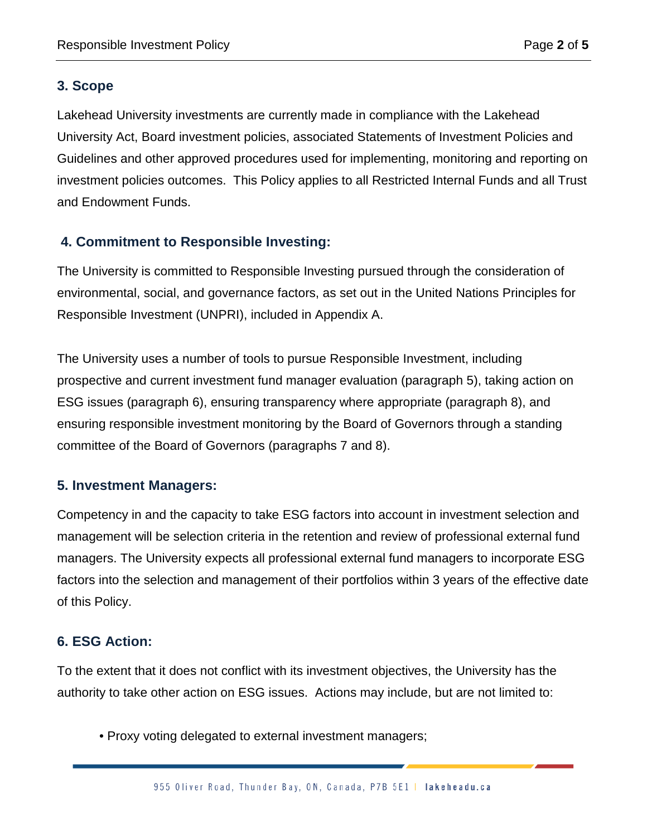## **3. Scope**

Lakehead University investments are currently made in compliance with the Lakehead University Act, Board investment policies, associated Statements of Investment Policies and Guidelines and other approved procedures used for implementing, monitoring and reporting on investment policies outcomes. This Policy applies to all Restricted Internal Funds and all Trust and Endowment Funds.

## **4. Commitment to Responsible Investing:**

The University is committed to Responsible Investing pursued through the consideration of environmental, social, and governance factors, as set out in the United Nations Principles for Responsible Investment (UNPRI), included in Appendix A.

The University uses a number of tools to pursue Responsible Investment, including prospective and current investment fund manager evaluation (paragraph 5), taking action on ESG issues (paragraph 6), ensuring transparency where appropriate (paragraph 8), and ensuring responsible investment monitoring by the Board of Governors through a standing committee of the Board of Governors (paragraphs 7 and 8).

## **5. Investment Managers:**

Competency in and the capacity to take ESG factors into account in investment selection and management will be selection criteria in the retention and review of professional external fund managers. The University expects all professional external fund managers to incorporate ESG factors into the selection and management of their portfolios within 3 years of the effective date of this Policy.

# **6. ESG Action:**

To the extent that it does not conflict with its investment objectives, the University has the authority to take other action on ESG issues. Actions may include, but are not limited to:

• Proxy voting delegated to external investment managers;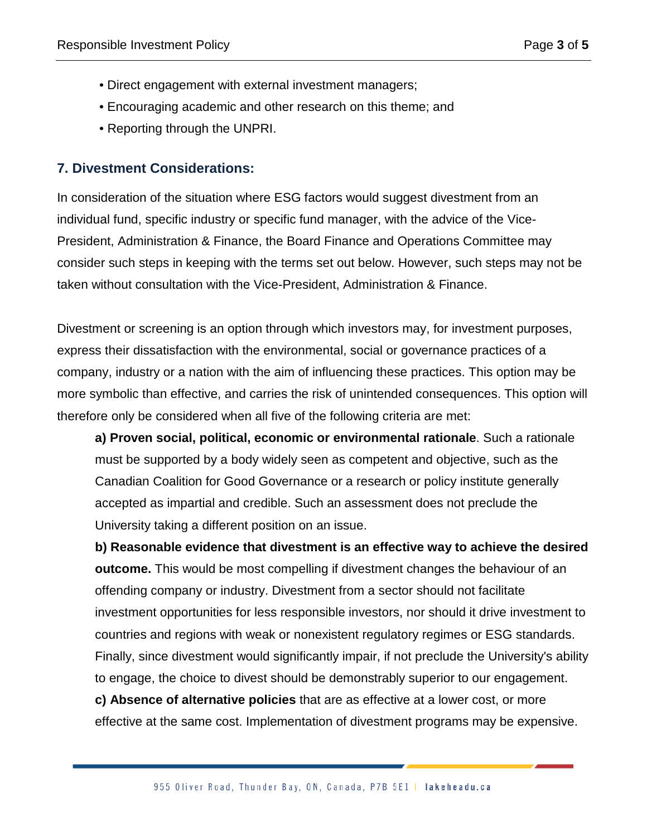- Direct engagement with external investment managers;
- Encouraging academic and other research on this theme; and
- Reporting through the UNPRI.

### **7. Divestment Considerations:**

In consideration of the situation where ESG factors would suggest divestment from an individual fund, specific industry or specific fund manager, with the advice of the Vice-President, Administration & Finance, the Board Finance and Operations Committee may consider such steps in keeping with the terms set out below. However, such steps may not be taken without consultation with the Vice-President, Administration & Finance.

Divestment or screening is an option through which investors may, for investment purposes, express their dissatisfaction with the environmental, social or governance practices of a company, industry or a nation with the aim of influencing these practices. This option may be more symbolic than effective, and carries the risk of unintended consequences. This option will therefore only be considered when all five of the following criteria are met:

**a) Proven social, political, economic or environmental rationale**. Such a rationale must be supported by a body widely seen as competent and objective, such as the Canadian Coalition for Good Governance or a research or policy institute generally accepted as impartial and credible. Such an assessment does not preclude the University taking a different position on an issue.

**b) Reasonable evidence that divestment is an effective way to achieve the desired outcome.** This would be most compelling if divestment changes the behaviour of an offending company or industry. Divestment from a sector should not facilitate investment opportunities for less responsible investors, nor should it drive investment to countries and regions with weak or nonexistent regulatory regimes or ESG standards. Finally, since divestment would significantly impair, if not preclude the University's ability to engage, the choice to divest should be demonstrably superior to our engagement. **c) Absence of alternative policies** that are as effective at a lower cost, or more effective at the same cost. Implementation of divestment programs may be expensive.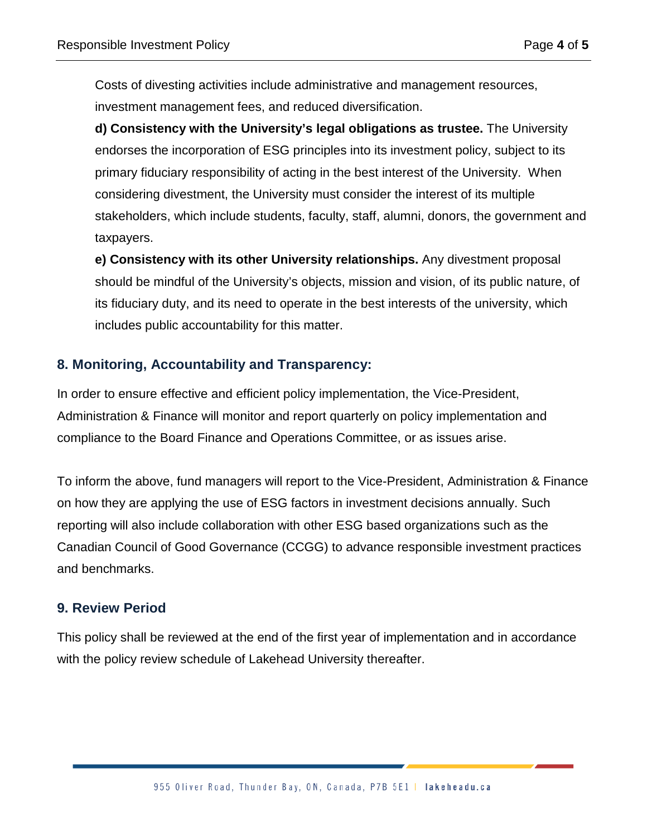Costs of divesting activities include administrative and management resources, investment management fees, and reduced diversification.

**d) Consistency with the University's legal obligations as trustee.** The University endorses the incorporation of ESG principles into its investment policy, subject to its primary fiduciary responsibility of acting in the best interest of the University. When considering divestment, the University must consider the interest of its multiple stakeholders, which include students, faculty, staff, alumni, donors, the government and taxpayers.

**e) Consistency with its other University relationships.** Any divestment proposal should be mindful of the University's objects, mission and vision, of its public nature, of its fiduciary duty, and its need to operate in the best interests of the university, which includes public accountability for this matter.

#### **8. Monitoring, Accountability and Transparency:**

In order to ensure effective and efficient policy implementation, the Vice-President, Administration & Finance will monitor and report quarterly on policy implementation and compliance to the Board Finance and Operations Committee, or as issues arise.

To inform the above, fund managers will report to the Vice-President, Administration & Finance on how they are applying the use of ESG factors in investment decisions annually. Such reporting will also include collaboration with other ESG based organizations such as the Canadian Council of Good Governance (CCGG) to advance responsible investment practices and benchmarks.

#### **9. Review Period**

This policy shall be reviewed at the end of the first year of implementation and in accordance with the policy review schedule of Lakehead University thereafter.